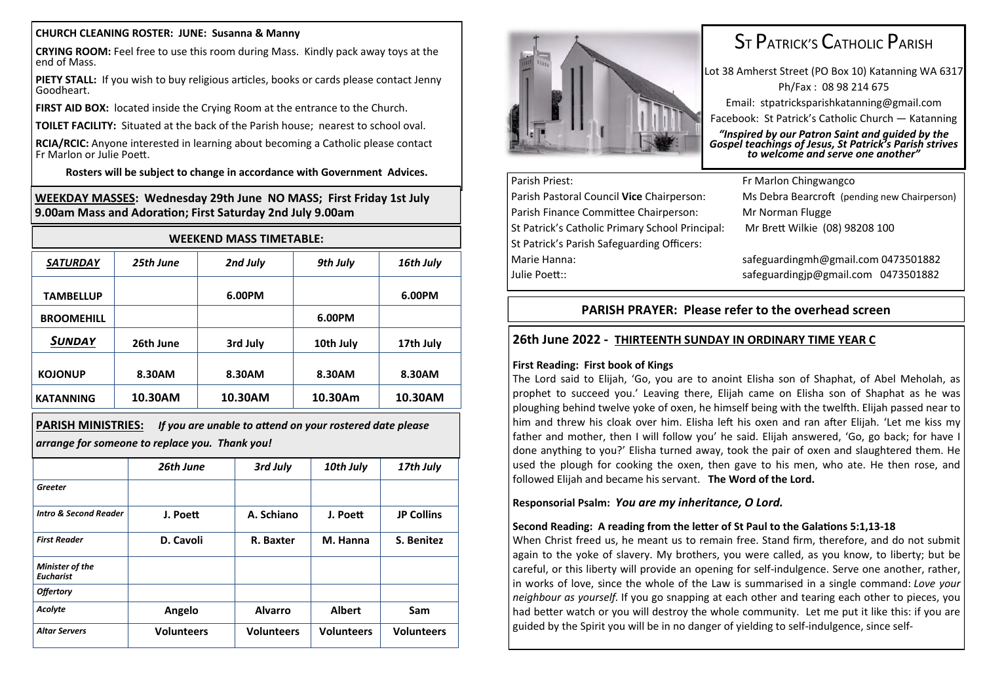#### **CHURCH CLEANING ROSTER: JUNE: Susanna & Manny**

**CRYING ROOM:** Feel free to use this room during Mass. Kindly pack away toys at the end of Mass.

**PIETY STALL:** If you wish to buy religious articles, books or cards please contact Jenny Goodheart.

**FIRST AID BOX:** located inside the Crying Room at the entrance to the Church.

**TOILET FACILITY:** Situated at the back of the Parish house; nearest to school oval.

**RCIA/RCIC:** Anyone interested in learning about becoming a Catholic please contact Fr Marlon or Julie Poett.

**Rosters will be subject to change in accordance with Government Advices.**

**WEEKDAY MASSES: Wednesday 29th June NO MASS; First Friday 1st July 9.00am Mass and Adoration; First Saturday 2nd July 9.00am**

| <b>WEEKEND MASS TIMETABLE:</b> |           |          |           |           |  |
|--------------------------------|-----------|----------|-----------|-----------|--|
| <b>SATURDAY</b>                | 25th June | 2nd July | 9th July  | 16th July |  |
| <b>TAMBELLUP</b>               |           | 6.00PM   |           | 6.00PM    |  |
| <b>BROOMEHILL</b>              |           |          | 6.00PM    |           |  |
| <b>SUNDAY</b>                  | 26th June | 3rd July | 10th July | 17th July |  |
| <b>KOJONUP</b>                 | 8.30AM    | 8.30AM   | 8.30AM    | 8.30AM    |  |
| <b>KATANNING</b>               | 10.30AM   | 10.30AM  | 10.30Am   | 10.30AM   |  |

**PARISH MINISTRIES:** *If you are unable to attend on your rostered date please arrange for someone to replace you. Thank you!*

|                                            | 26th June         | 3rd July          | 10th July         | 17th July         |
|--------------------------------------------|-------------------|-------------------|-------------------|-------------------|
| Greeter                                    |                   |                   |                   |                   |
| <b>Intro &amp; Second Reader</b>           | J. Poett          | A. Schiano        | J. Poett          | <b>JP Collins</b> |
| <b>First Reader</b>                        | D. Cavoli         | R. Baxter         | M. Hanna          | S. Benitez        |
| <b>Minister of the</b><br><b>Eucharist</b> |                   |                   |                   |                   |
| <b>Offertory</b>                           |                   |                   |                   |                   |
| Acolyte                                    | Angelo            | <b>Alvarro</b>    | <b>Albert</b>     | Sam               |
| <b>Altar Servers</b>                       | <b>Volunteers</b> | <b>Volunteers</b> | <b>Volunteers</b> | <b>Volunteers</b> |



# ST PATRICK'S CATHOLIC PARISH

Lot 38 Amherst Street (PO Box 10) Katanning WA 6317 Ph/Fax : 08 98 214 675 Email: stpatricksparishkatanning@gmail.com Facebook: St Patrick's Catholic Church — Katanning

*"Inspired by our Patron Saint and guided by the Gospel teachings of Jesus, St Patrick's Parish strives to welcome and serve one another"*

## Parish Priest: Fr Marlon Chingwangco Parish Pastoral Council **Vice** Chairperson: Ms Debra Bearcroft (pending new Chairperson) Parish Finance Committee Chairperson: Mr Norman Flugge St Patrick's Catholic Primary School Principal: Mr Brett Wilkie (08) 98208 100 St Patrick's Parish Safeguarding Officers: Marie Hanna: safeguardingmh@gmail.com 0473501882 Julie Poett:: safeguardingjp@gmail.com 0473501882

## **PARISH PRAYER: Please refer to the overhead screen**

## **26th June 2022 - THIRTEENTH SUNDAY IN ORDINARY TIME YEAR C**

#### **First Reading: First book of Kings**

The Lord said to Elijah, 'Go, you are to anoint Elisha son of Shaphat, of Abel Meholah, as prophet to succeed you.' Leaving there, Elijah came on Elisha son of Shaphat as he was ploughing behind twelve yoke of oxen, he himself being with the twelfth. Elijah passed near to him and threw his cloak over him. Elisha left his oxen and ran after Elijah. 'Let me kiss my father and mother, then I will follow you' he said. Elijah answered, 'Go, go back; for have I done anything to you?' Elisha turned away, took the pair of oxen and slaughtered them. He used the plough for cooking the oxen, then gave to his men, who ate. He then rose, and followed Elijah and became his servant. **The Word of the Lord.**

#### **Responsorial Psalm:** *You are my inheritance, O Lord.*

#### **Second Reading: A reading from the letter of St Paul to the Galations 5:1,13-18**

When Christ freed us, he meant us to remain free. Stand firm, therefore, and do not submit again to the yoke of slavery. My brothers, you were called, as you know, to liberty; but be careful, or this liberty will provide an opening for self-indulgence. Serve one another, rather, in works of love, since the whole of the Law is summarised in a single command: *Love your neighbour as yourself.* If you go snapping at each other and tearing each other to pieces, you had better watch or you will destroy the whole community. Let me put it like this: if you are guided by the Spirit you will be in no danger of yielding to self-indulgence, since self-